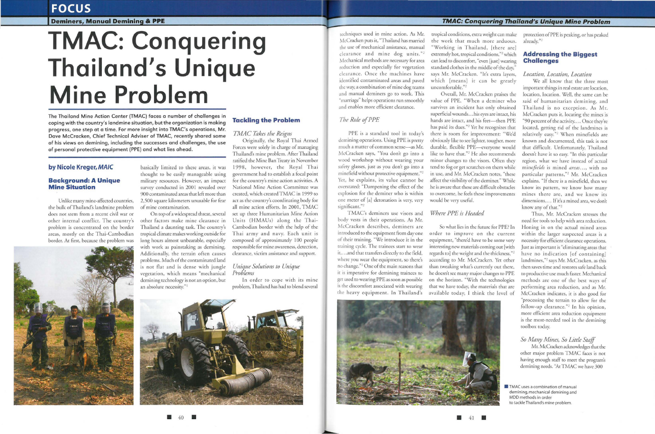## **FOCUS**

**Deminers, Manual Demining & PPE** 

# **TMAC: Conquering Thailand's Unique Mine Problem**

The Thailand Mine Action Center (TMAC) faces a number of challenges in coping with the country's landmine situation, but the organization is making progress, one step at a time. For more insight into TMAC's operations, Mr. Dave McCracken, Chief Technical Adviser of TMAC, recently shared some of his views on demining, including the successes and challenges, the use of personal protective equipment (PPE) and what lies ahead.

### **by Nicole Kreger,** *MAIC*

#### **Background: A Unique Mine Situation**

On top of a widespread threat, several other factors make mine clearance in Thailand a daunting task. The country's tropical climate makes working outside for long hours almost unbearable, especially with work as painstaking as demining. Additionally, the terrain often causes problems. Much of the contaminated land vegetation, which means "mechanical demining technology is not an option, bur an absolute necessity."1

is not flat and is dense with jungle

Unlike many mine-affected counrries, the bulk ofThailand's landmine problem does nor stem from a recent civil war or other internal conflict. The country's problem is concentrated on the border areas, mostly on the Thai-Cambodian border. At first, because the problem was

basically limited to these areas, *it* was thought ro be easily manageable using military resources. However, an impact survey conducted in 2001 revealed over 900 contaminated areas that left more chan 2,500 square kilometers unusable for fear of mine contamination.

> In order to cope with its mine problem, Thailand has had ro blend several

PPE is a standard tool in today's demining operations. Using PPE is pretty much a matter of common sense-as Mr. McCracken says, "You don't go inro a wood workshop without wearing your safery glasses, just as you don't go into a minefield without protective equipment."<sup>2</sup> Yet, he explains, its value cannot be overstated: "Dampening the effect of the explosion for the deminer who is within one meter of [a) detonation is very, very significant."<sup>2</sup>

TMAC's deminers use visors and body vests in their operations. As Mr. McCracken describes, deminers are introduced ro the equipment from day one order to improve on the current of their training. "We introduce it in the training cycle. The trainees start co wear it,...and that transfers directly to the field, where you wear rhe equipment, so there's no change."<sup>2</sup> One of the main reasons that ir is imperative for demining trainees to get used ro wearing PPE as soon as possible is the discomfort associated with wearing the heavy equipment. In Thailand's

**Tackling the Problem** 

*TMAC Takes the Reigns* 

Originally, the Royal Thai Armed Forces were solely in charge of managing tropical conditions, extra weight can make rhe work rhar much more arduous. "Working in Thailand, [there are] extremely hot, tropical condirions,"2 which can lead to discomfort, "even (just] wearing standard clothes in the middle of the day,' says Mr. McCracken. " It's extra layers, which [means] ir can be grearly uncomfortable."<sup>2</sup>

Thailand's mine problem. After Thailand rarified the Mine Ban Treacy in November 1998, however, the Royal Thai government had to establish a focal point for the country's mine action activities. A National Mine Action Committee was created, which created TMAC in 1999 co act as the country's coordinating body for all mine action efforts. In 2001, TMAC set up three Humanitarian Mine Action Units (HMAUs) along the Thai-Cambodian border with the help of the Thai army and navy. Each unit is composed of approximately 100 people responsible for mine awareness, detection,

clearance, victim assistance and support.

#### *Unique Solutions to Unique Problems*

So what lies in rhe future for PPE? ln equipment, "there'd have to be some very interesting new materials coming out [with] regards to] the weight and the thickness,"2 according to Mr. McCracken. Yet other than rweaking what's currently out there, he doesn't see many major changes to PPE on rhe horizon. "With the technologies that we have today, the materials that are available today, I think the level of

 $\blacksquare$  41









We all know that the three most imporranr things in real estate are location, location, location. Well, the same can be said of humanitarian demining, and Thailand is no exception. As Mr. McCracken puts ir, locating the mines *is*  "90 percent of the activity.... Once they're located, getting rid of the landmines is relatively easy."<sup>2</sup> When minefields are known and documen ted, this task is not that difficult. Unfortunately, Thailand doesn't have it so easy. "In this particular region, what we have instead of actual *minefields* is mined *areas...*, with no particular patterns,"<sup>2</sup> Mr. McCracken explains. "If there is a minefield, chen we know its pattern, we know how many mines there are, and we know irs dimensions.... If it's a mined area, we don't know any of that."<sup>2</sup>

### *The Role of PPE*

Mr. McCracken acknowledges that the other major problem TMAC faces is not having enough staff to meet the program's demining needs. "At TMAC we have 300

**TMAC** uses a combination of manual demining, mechanical demining and MDD methods in order to tackle Thailand's mine problem.

Overall, Mr. McCracken praises the value of PPE. "When a deminer who survives an incident has only obtained superficial wounds . .. his eyes are intact, his hands are intact, and his feet-then PPE has paid its dues."2 Yet he recognizes that there is room for improvement: "We'd obviously like to see lighter, tougher, more durable, flexible PPE-everyone would like ro have that. "2 He also recommends minor changes to the visors. Often they rend to fog or get scratches on them while in use, and Mr. McCracken notes, "these affect the visibility of the deminer." While he is aware that these are difficult obstacles ro overcome, he feels these improvements would be very useful.

#### *Where PPE is Headed*

protection ofPPE is peaking, or has peaked already."<sup>2</sup>

#### **Addressing the Biggest Challenges**

#### *Location, Location, Location*

Thus, Mr. McCracken stresses the need for tools to help with area reduction. Honing in on rhe actual mined areas within the larger suspected areas is a necessity for efficient clearance operations. Just as important is "eliminating areas that have no indicarion [of containing] landmines,"2 says Mr. McCracken, as this then saves rime and restores safe land back to productive use much faster. Mechanical methods are one of rhe best ways of performing area reduction, and as Mr. McCracken indicates, it is also good for "processing the terrain to allow for rhe follow-up clearance."<sup>2</sup> In his opinion, more efficient area reduction equipment is the most-needed tool in the demining toolbox today.

#### *So Many Mines, So Little Staff*